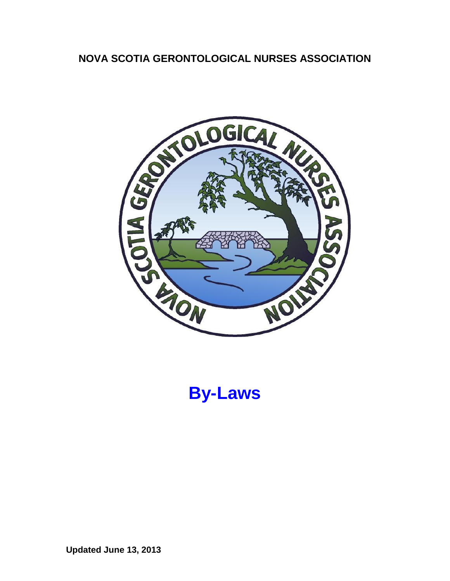# **NOVA SCOTIA GERONTOLOGICAL NURSES ASSOCIATION**



**By-Laws**

**Updated June 13, 2013**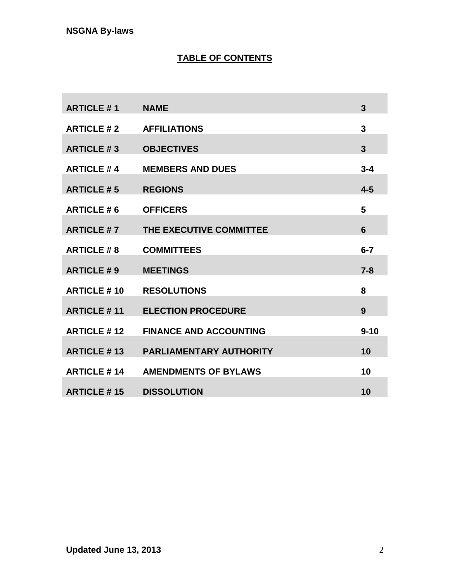# **TABLE OF CONTENTS**

| <b>ARTICLE #1</b>  | <b>NAME</b>                    | 3              |
|--------------------|--------------------------------|----------------|
| <b>ARTICLE #2</b>  | <b>AFFILIATIONS</b>            | 3              |
| <b>ARTICLE #3</b>  | <b>OBJECTIVES</b>              | $\overline{3}$ |
| <b>ARTICLE #4</b>  | <b>MEMBERS AND DUES</b>        | $3 - 4$        |
| <b>ARTICLE #5</b>  | <b>REGIONS</b>                 | $4-5$          |
| <b>ARTICLE #6</b>  | <b>OFFICERS</b>                | 5              |
| <b>ARTICLE #7</b>  | THE EXECUTIVE COMMITTEE        | 6              |
| <b>ARTICLE #8</b>  | <b>COMMITTEES</b>              | $6 - 7$        |
| <b>ARTICLE #9</b>  | <b>MEETINGS</b>                | $7 - 8$        |
| <b>ARTICLE #10</b> | <b>RESOLUTIONS</b>             | 8              |
| <b>ARTICLE #11</b> | <b>ELECTION PROCEDURE</b>      | 9              |
| <b>ARTICLE #12</b> | <b>FINANCE AND ACCOUNTING</b>  | $9 - 10$       |
| <b>ARTICLE #13</b> | <b>PARLIAMENTARY AUTHORITY</b> | 10             |
| <b>ARTICLE #14</b> | <b>AMENDMENTS OF BYLAWS</b>    | 10             |
| <b>ARTICLE #15</b> | <b>DISSOLUTION</b>             | 10             |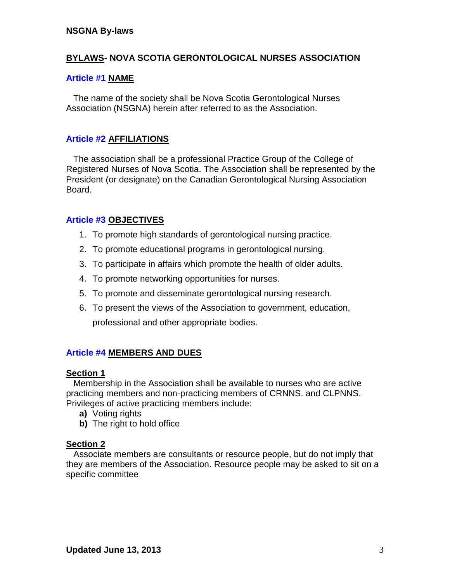# **BYLAWS- NOVA SCOTIA GERONTOLOGICAL NURSES ASSOCIATION**

# **Article #1 NAME**

 The name of the society shall be Nova Scotia Gerontological Nurses Association (NSGNA) herein after referred to as the Association.

# **Article #2 AFFILIATIONS**

 The association shall be a professional Practice Group of the College of Registered Nurses of Nova Scotia. The Association shall be represented by the President (or designate) on the Canadian Gerontological Nursing Association Board.

# **Article #3 OBJECTIVES**

- 1. To promote high standards of gerontological nursing practice.
- 2. To promote educational programs in gerontological nursing.
- 3. To participate in affairs which promote the health of older adults.
- 4. To promote networking opportunities for nurses.
- 5. To promote and disseminate gerontological nursing research.
- 6. To present the views of the Association to government, education, professional and other appropriate bodies.

# **Article #4 MEMBERS AND DUES**

## **Section 1**

 Membership in the Association shall be available to nurses who are active practicing members and non-practicing members of CRNNS. and CLPNNS. Privileges of active practicing members include:

- **a)** Voting rights
- **b)** The right to hold office

## **Section 2**

 Associate members are consultants or resource people, but do not imply that they are members of the Association. Resource people may be asked to sit on a specific committee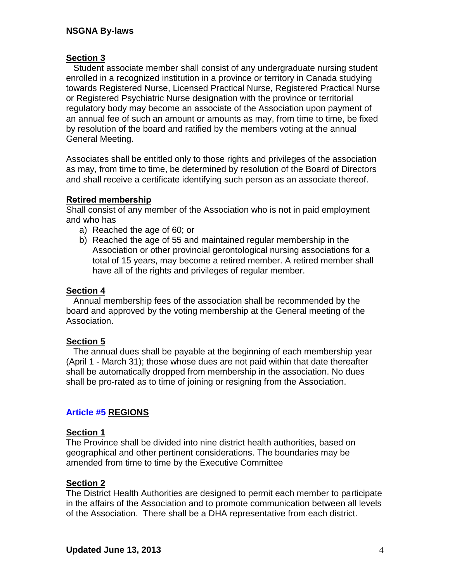## **Section 3**

 Student associate member shall consist of any undergraduate nursing student enrolled in a recognized institution in a province or territory in Canada studying towards Registered Nurse, Licensed Practical Nurse, Registered Practical Nurse or Registered Psychiatric Nurse designation with the province or territorial regulatory body may become an associate of the Association upon payment of an annual fee of such an amount or amounts as may, from time to time, be fixed by resolution of the board and ratified by the members voting at the annual General Meeting.

Associates shall be entitled only to those rights and privileges of the association as may, from time to time, be determined by resolution of the Board of Directors and shall receive a certificate identifying such person as an associate thereof.

## **Retired membership**

Shall consist of any member of the Association who is not in paid employment and who has

- a) Reached the age of 60; or
- b) Reached the age of 55 and maintained regular membership in the Association or other provincial gerontological nursing associations for a total of 15 years, may become a retired member. A retired member shall have all of the rights and privileges of regular member.

## **Section 4**

 Annual membership fees of the association shall be recommended by the board and approved by the voting membership at the General meeting of the Association.

#### **Section 5**

 The annual dues shall be payable at the beginning of each membership year (April 1 - March 31); those whose dues are not paid within that date thereafter shall be automatically dropped from membership in the association. No dues shall be pro-rated as to time of joining or resigning from the Association.

## **Article #5 REGIONS**

#### **Section 1**

The Province shall be divided into nine district health authorities, based on geographical and other pertinent considerations. The boundaries may be amended from time to time by the Executive Committee

#### **Section 2**

The District Health Authorities are designed to permit each member to participate in the affairs of the Association and to promote communication between all levels of the Association. There shall be a DHA representative from each district.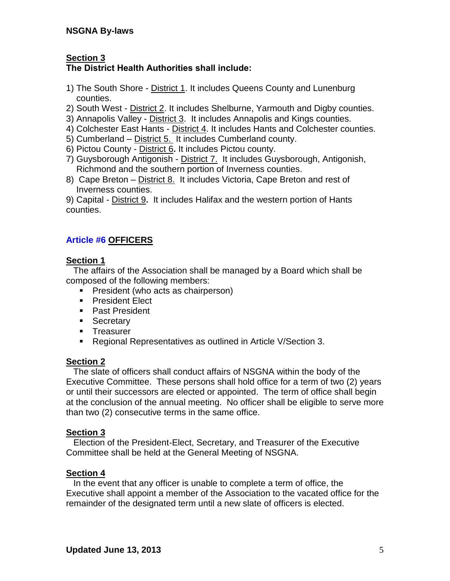# **Section 3**

# **The District Health Authorities shall include:**

- 1) The South Shore District 1. It includes Queens County and Lunenburg counties.
- 2) South West District 2. It includes Shelburne, Yarmouth and Digby counties.
- 3) Annapolis Valley District 3.It includes Annapolis and Kings counties.
- 4) Colchester East Hants District 4. It includes Hants and Colchester counties.
- 5) Cumberland District 5. It includes Cumberland county.
- 6) Pictou County District 6**.** It includes Pictou county.
- 7) Guysborough Antigonish District 7.It includes Guysborough, Antigonish, Richmond and the southern portion of Inverness counties.
- 8) Cape Breton District 8. It includes Victoria, Cape Breton and rest of Inverness counties.

9) Capital - District 9**.** It includes Halifax and the western portion of Hants counties.

# **Article #6 OFFICERS**

# **Section 1**

 The affairs of the Association shall be managed by a Board which shall be composed of the following members:

- **President (who acts as chairperson)**
- **President Elect**
- **Past President**
- **Secretary**
- **Treasurer**
- Regional Representatives as outlined in Article V/Section 3.

# **Section 2**

 The slate of officers shall conduct affairs of NSGNA within the body of the Executive Committee. These persons shall hold office for a term of two (2) years or until their successors are elected or appointed. The term of office shall begin at the conclusion of the annual meeting. No officer shall be eligible to serve more than two (2) consecutive terms in the same office.

# **Section 3**

 Election of the President-Elect, Secretary, and Treasurer of the Executive Committee shall be held at the General Meeting of NSGNA.

# **Section 4**

 In the event that any officer is unable to complete a term of office, the Executive shall appoint a member of the Association to the vacated office for the remainder of the designated term until a new slate of officers is elected.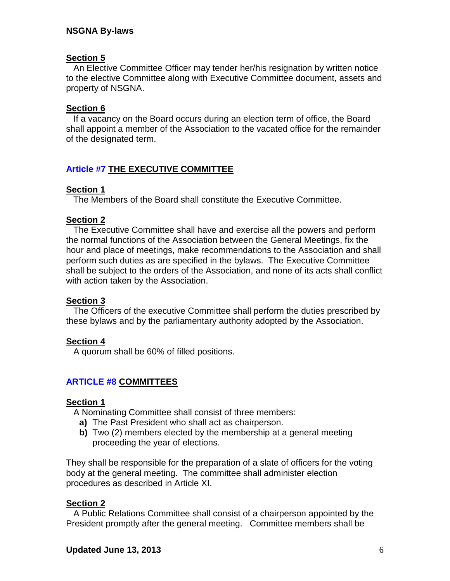## **Section 5**

 An Elective Committee Officer may tender her/his resignation by written notice to the elective Committee along with Executive Committee document, assets and property of NSGNA.

## **Section 6**

 If a vacancy on the Board occurs during an election term of office, the Board shall appoint a member of the Association to the vacated office for the remainder of the designated term.

# **Article #7 THE EXECUTIVE COMMITTEE**

## **Section 1**

The Members of the Board shall constitute the Executive Committee.

## **Section 2**

 The Executive Committee shall have and exercise all the powers and perform the normal functions of the Association between the General Meetings, fix the hour and place of meetings, make recommendations to the Association and shall perform such duties as are specified in the bylaws. The Executive Committee shall be subject to the orders of the Association, and none of its acts shall conflict with action taken by the Association.

## **Section 3**

 The Officers of the executive Committee shall perform the duties prescribed by these bylaws and by the parliamentary authority adopted by the Association.

#### **Section 4**

A quorum shall be 60% of filled positions.

## **ARTICLE #8 COMMITTEES**

#### **Section 1**

A Nominating Committee shall consist of three members:

- **a)** The Past President who shall act as chairperson.
- **b)** Two (2) members elected by the membership at a general meeting proceeding the year of elections.

They shall be responsible for the preparation of a slate of officers for the voting body at the general meeting. The committee shall administer election procedures as described in Article XI.

#### **Section 2**

 A Public Relations Committee shall consist of a chairperson appointed by the President promptly after the general meeting. Committee members shall be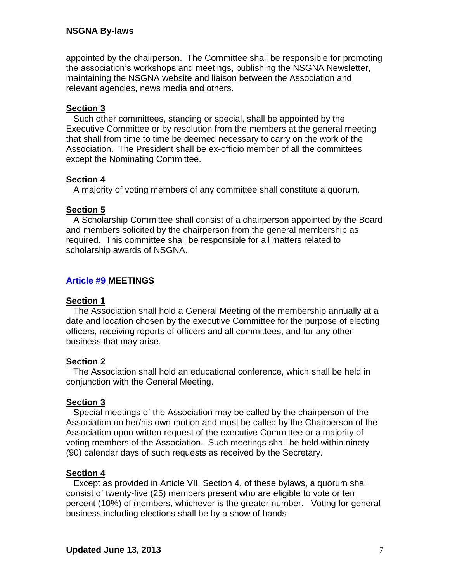appointed by the chairperson. The Committee shall be responsible for promoting the association's workshops and meetings, publishing the NSGNA Newsletter, maintaining the NSGNA website and liaison between the Association and relevant agencies, news media and others.

## **Section 3**

 Such other committees, standing or special, shall be appointed by the Executive Committee or by resolution from the members at the general meeting that shall from time to time be deemed necessary to carry on the work of the Association. The President shall be ex-officio member of all the committees except the Nominating Committee.

## **Section 4**

A majority of voting members of any committee shall constitute a quorum.

## **Section 5**

 A Scholarship Committee shall consist of a chairperson appointed by the Board and members solicited by the chairperson from the general membership as required. This committee shall be responsible for all matters related to scholarship awards of NSGNA.

# **Article #9 MEETINGS**

## **Section 1**

 The Association shall hold a General Meeting of the membership annually at a date and location chosen by the executive Committee for the purpose of electing officers, receiving reports of officers and all committees, and for any other business that may arise.

## **Section 2**

 The Association shall hold an educational conference, which shall be held in conjunction with the General Meeting.

## **Section 3**

 Special meetings of the Association may be called by the chairperson of the Association on her/his own motion and must be called by the Chairperson of the Association upon written request of the executive Committee or a majority of voting members of the Association. Such meetings shall be held within ninety (90) calendar days of such requests as received by the Secretary.

## **Section 4**

 Except as provided in Article VII, Section 4, of these bylaws, a quorum shall consist of twenty-five (25) members present who are eligible to vote or ten percent (10%) of members, whichever is the greater number. Voting for general business including elections shall be by a show of hands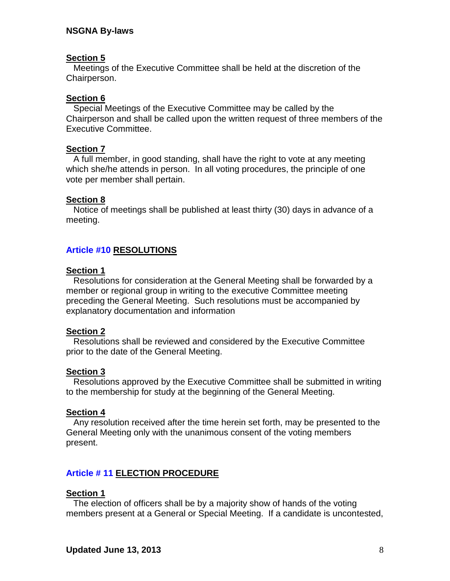## **Section 5**

 Meetings of the Executive Committee shall be held at the discretion of the Chairperson.

## **Section 6**

 Special Meetings of the Executive Committee may be called by the Chairperson and shall be called upon the written request of three members of the Executive Committee.

#### **Section 7**

 A full member, in good standing, shall have the right to vote at any meeting which she/he attends in person. In all voting procedures, the principle of one vote per member shall pertain.

## **Section 8**

 Notice of meetings shall be published at least thirty (30) days in advance of a meeting.

## **Article #10 RESOLUTIONS**

## **Section 1**

 Resolutions for consideration at the General Meeting shall be forwarded by a member or regional group in writing to the executive Committee meeting preceding the General Meeting. Such resolutions must be accompanied by explanatory documentation and information

#### **Section 2**

 Resolutions shall be reviewed and considered by the Executive Committee prior to the date of the General Meeting.

#### **Section 3**

 Resolutions approved by the Executive Committee shall be submitted in writing to the membership for study at the beginning of the General Meeting.

#### **Section 4**

 Any resolution received after the time herein set forth, may be presented to the General Meeting only with the unanimous consent of the voting members present.

## **Article # 11 ELECTION PROCEDURE**

#### **Section 1**

 The election of officers shall be by a majority show of hands of the voting members present at a General or Special Meeting. If a candidate is uncontested,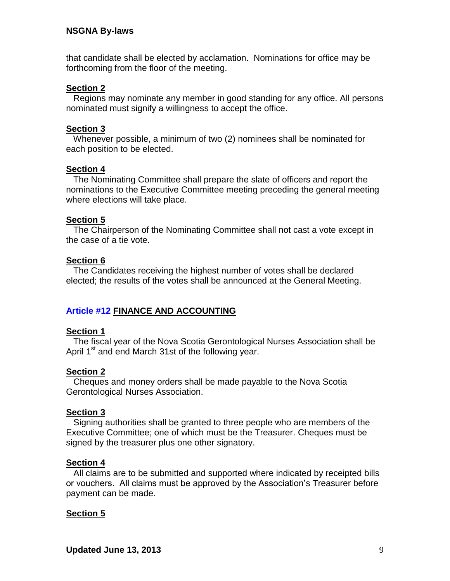that candidate shall be elected by acclamation. Nominations for office may be forthcoming from the floor of the meeting.

## **Section 2**

 Regions may nominate any member in good standing for any office. All persons nominated must signify a willingness to accept the office.

## **Section 3**

 Whenever possible, a minimum of two (2) nominees shall be nominated for each position to be elected.

## **Section 4**

 The Nominating Committee shall prepare the slate of officers and report the nominations to the Executive Committee meeting preceding the general meeting where elections will take place.

## **Section 5**

 The Chairperson of the Nominating Committee shall not cast a vote except in the case of a tie vote.

## **Section 6**

 The Candidates receiving the highest number of votes shall be declared elected; the results of the votes shall be announced at the General Meeting.

## **Article #12 FINANCE AND ACCOUNTING**

#### **Section 1**

 The fiscal year of the Nova Scotia Gerontological Nurses Association shall be April 1<sup>st</sup> and end March 31st of the following year.

#### **Section 2**

 Cheques and money orders shall be made payable to the Nova Scotia Gerontological Nurses Association.

#### **Section 3**

 Signing authorities shall be granted to three people who are members of the Executive Committee; one of which must be the Treasurer. Cheques must be signed by the treasurer plus one other signatory.

#### **Section 4**

 All claims are to be submitted and supported where indicated by receipted bills or vouchers. All claims must be approved by the Association's Treasurer before payment can be made.

## **Section 5**